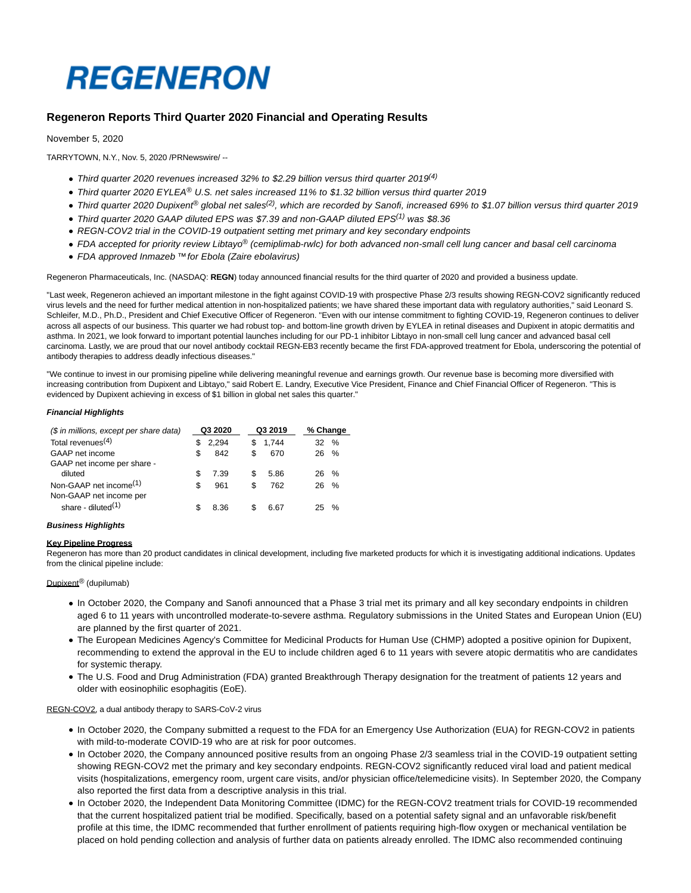# **REGENERON**

# **Regeneron Reports Third Quarter 2020 Financial and Operating Results**

## November 5, 2020

TARRYTOWN, N.Y., Nov. 5, 2020 /PRNewswire/ --

- Third quarter 2020 revenues increased 32% to \$2.29 billion versus third quarter 2019<sup>(4)</sup>
- Third quarter 2020 EYLEA® U.S. net sales increased 11% to \$1.32 billion versus third quarter 2019
- Third quarter 2020 Dupixent<sup>®</sup> global net sales<sup>(2)</sup>, which are recorded by Sanofi, increased 69% to \$1.07 billion versus third quarter 2019
- Third quarter 2020 GAAP diluted EPS was \$7.39 and non-GAAP diluted EPS<sup>(1)</sup> was \$8.36
- REGN-COV2 trial in the COVID-19 outpatient setting met primary and key secondary endpoints
- FDA accepted for priority review Libtayo<sup>®</sup> (cemiplimab-rwlc) for both advanced non-small cell lung cancer and basal cell carcinoma
- FDA approved Inmazeb ™for Ebola (Zaire ebolavirus)

Regeneron Pharmaceuticals, Inc. (NASDAQ: **REGN**) today announced financial results for the third quarter of 2020 and provided a business update.

"Last week, Regeneron achieved an important milestone in the fight against COVID-19 with prospective Phase 2/3 results showing REGN-COV2 significantly reduced virus levels and the need for further medical attention in non-hospitalized patients; we have shared these important data with regulatory authorities," said Leonard S. Schleifer, M.D., Ph.D., President and Chief Executive Officer of Regeneron. "Even with our intense commitment to fighting COVID-19, Regeneron continues to deliver across all aspects of our business. This quarter we had robust top- and bottom-line growth driven by EYLEA in retinal diseases and Dupixent in atopic dermatitis and asthma. In 2021, we look forward to important potential launches including for our PD-1 inhibitor Libtayo in non-small cell lung cancer and advanced basal cell carcinoma. Lastly, we are proud that our novel antibody cocktail REGN-EB3 recently became the first FDA-approved treatment for Ebola, underscoring the potential of antibody therapies to address deadly infectious diseases."

"We continue to invest in our promising pipeline while delivering meaningful revenue and earnings growth. Our revenue base is becoming more diversified with increasing contribution from Dupixent and Libtayo," said Robert E. Landry, Executive Vice President, Finance and Chief Financial Officer of Regeneron. "This is evidenced by Dupixent achieving in excess of \$1 billion in global net sales this quarter."

#### **Financial Highlights**

| (\$ in millions, except per share data)                       | Q3 2020 |       |    | Q3 2019 |  |      | % Change |
|---------------------------------------------------------------|---------|-------|----|---------|--|------|----------|
| Total revenues <sup><math>(4)</math></sup>                    | S       | 2.294 | S  | 1.744   |  | 32   | $\%$     |
| GAAP net income                                               |         | 842   | \$ | 670     |  | 26.  | $\%$     |
| GAAP net income per share -                                   |         |       |    |         |  |      |          |
| diluted                                                       |         | 7.39  | S  | 5.86    |  | 26 % |          |
| Non-GAAP net income <sup>(1)</sup><br>Non-GAAP net income per | S       | 961   | \$ | 762     |  | 26   | $\%$     |
| share - diluted $(1)$                                         |         | 8.36  |    | 6.67    |  |      | $\%$     |

#### **Business Highlights**

#### **Key Pipeline Progress**

Regeneron has more than 20 product candidates in clinical development, including five marketed products for which it is investigating additional indications. Updates from the clinical pipeline include:

#### Dupixent<sup>®</sup> (dupilumab)

- In October 2020, the Company and Sanofi announced that a Phase 3 trial met its primary and all key secondary endpoints in children aged 6 to 11 years with uncontrolled moderate-to-severe asthma. Regulatory submissions in the United States and European Union (EU) are planned by the first quarter of 2021.
- The European Medicines Agency's Committee for Medicinal Products for Human Use (CHMP) adopted a positive opinion for Dupixent, recommending to extend the approval in the EU to include children aged 6 to 11 years with severe atopic dermatitis who are candidates for systemic therapy.
- The U.S. Food and Drug Administration (FDA) granted Breakthrough Therapy designation for the treatment of patients 12 years and older with eosinophilic esophagitis (EoE).

REGN-COV2, a dual antibody therapy to SARS-CoV-2 virus

- In October 2020, the Company submitted a request to the FDA for an Emergency Use Authorization (EUA) for REGN-COV2 in patients with mild-to-moderate COVID-19 who are at risk for poor outcomes.
- In October 2020, the Company announced positive results from an ongoing Phase 2/3 seamless trial in the COVID-19 outpatient setting showing REGN-COV2 met the primary and key secondary endpoints. REGN-COV2 significantly reduced viral load and patient medical visits (hospitalizations, emergency room, urgent care visits, and/or physician office/telemedicine visits). In September 2020, the Company also reported the first data from a descriptive analysis in this trial.
- In October 2020, the Independent Data Monitoring Committee (IDMC) for the REGN-COV2 treatment trials for COVID-19 recommended that the current hospitalized patient trial be modified. Specifically, based on a potential safety signal and an unfavorable risk/benefit profile at this time, the IDMC recommended that further enrollment of patients requiring high-flow oxygen or mechanical ventilation be placed on hold pending collection and analysis of further data on patients already enrolled. The IDMC also recommended continuing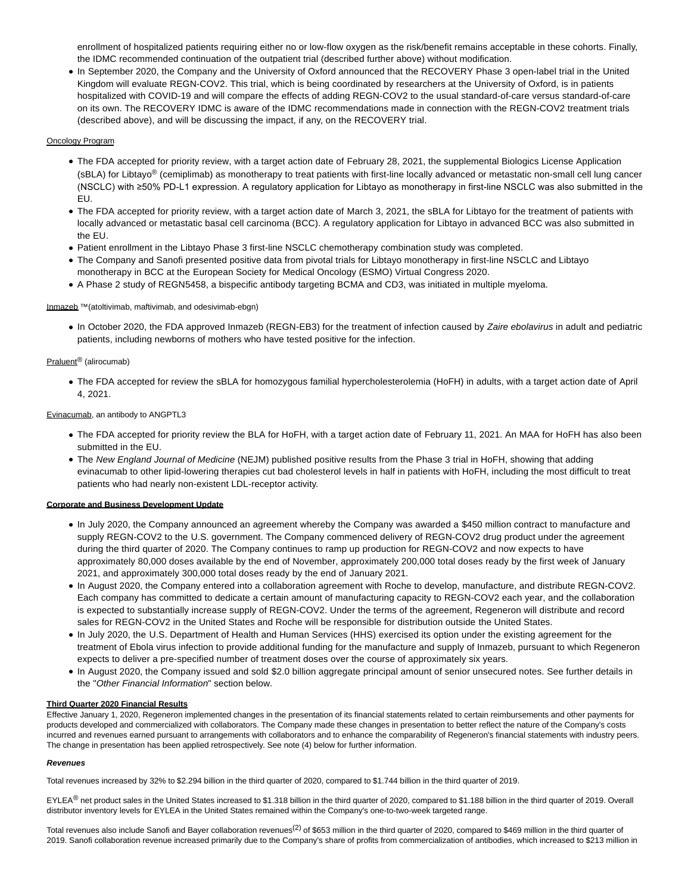enrollment of hospitalized patients requiring either no or low-flow oxygen as the risk/benefit remains acceptable in these cohorts. Finally, the IDMC recommended continuation of the outpatient trial (described further above) without modification.

In September 2020, the Company and the University of Oxford announced that the RECOVERY Phase 3 open-label trial in the United Kingdom will evaluate REGN-COV2. This trial, which is being coordinated by researchers at the University of Oxford, is in patients hospitalized with COVID-19 and will compare the effects of adding REGN-COV2 to the usual standard-of-care versus standard-of-care on its own. The RECOVERY IDMC is aware of the IDMC recommendations made in connection with the REGN-COV2 treatment trials (described above), and will be discussing the impact, if any, on the RECOVERY trial.

#### Oncology Program

- The FDA accepted for priority review, with a target action date of February 28, 2021, the supplemental Biologics License Application (sBLA) for Libtayo<sup>®</sup> (cemiplimab) as monotherapy to treat patients with first-line locally advanced or metastatic non-small cell lung cancer (NSCLC) with ≥50% PD-L1 expression. A regulatory application for Libtayo as monotherapy in first-line NSCLC was also submitted in the EU.
- The FDA accepted for priority review, with a target action date of March 3, 2021, the sBLA for Libtayo for the treatment of patients with locally advanced or metastatic basal cell carcinoma (BCC). A regulatory application for Libtayo in advanced BCC was also submitted in the EU.
- Patient enrollment in the Libtayo Phase 3 first-line NSCLC chemotherapy combination study was completed.
- The Company and Sanofi presented positive data from pivotal trials for Libtayo monotherapy in first-line NSCLC and Libtayo monotherapy in BCC at the European Society for Medical Oncology (ESMO) Virtual Congress 2020.
- A Phase 2 study of REGN5458, a bispecific antibody targeting BCMA and CD3, was initiated in multiple myeloma.

#### Inmazeb ™(atoltivimab, maftivimab, and odesivimab-ebgn)

• In October 2020, the FDA approved Inmazeb (REGN-EB3) for the treatment of infection caused by Zaire ebolavirus in adult and pediatric patients, including newborns of mothers who have tested positive for the infection.

# Praluent® (alirocumab)

The FDA accepted for review the sBLA for homozygous familial hypercholesterolemia (HoFH) in adults, with a target action date of April 4, 2021.

## Evinacumab, an antibody to ANGPTL3

- The FDA accepted for priority review the BLA for HoFH, with a target action date of February 11, 2021. An MAA for HoFH has also been submitted in the EU.
- The New England Journal of Medicine (NEJM) published positive results from the Phase 3 trial in HoFH, showing that adding evinacumab to other lipid-lowering therapies cut bad cholesterol levels in half in patients with HoFH, including the most difficult to treat patients who had nearly non-existent LDL-receptor activity.

#### **Corporate and Business Development Update**

- In July 2020, the Company announced an agreement whereby the Company was awarded a \$450 million contract to manufacture and supply REGN-COV2 to the U.S. government. The Company commenced delivery of REGN-COV2 drug product under the agreement during the third quarter of 2020. The Company continues to ramp up production for REGN-COV2 and now expects to have approximately 80,000 doses available by the end of November, approximately 200,000 total doses ready by the first week of January 2021, and approximately 300,000 total doses ready by the end of January 2021.
- In August 2020, the Company entered into a collaboration agreement with Roche to develop, manufacture, and distribute REGN-COV2. Each company has committed to dedicate a certain amount of manufacturing capacity to REGN-COV2 each year, and the collaboration is expected to substantially increase supply of REGN-COV2. Under the terms of the agreement, Regeneron will distribute and record sales for REGN-COV2 in the United States and Roche will be responsible for distribution outside the United States.
- In July 2020, the U.S. Department of Health and Human Services (HHS) exercised its option under the existing agreement for the treatment of Ebola virus infection to provide additional funding for the manufacture and supply of Inmazeb, pursuant to which Regeneron expects to deliver a pre-specified number of treatment doses over the course of approximately six years.
- In August 2020, the Company issued and sold \$2.0 billion aggregate principal amount of senior unsecured notes. See further details in the "Other Financial Information" section below.

#### **Third Quarter 2020 Financial Results**

Effective January 1, 2020, Regeneron implemented changes in the presentation of its financial statements related to certain reimbursements and other payments for products developed and commercialized with collaborators. The Company made these changes in presentation to better reflect the nature of the Company's costs incurred and revenues earned pursuant to arrangements with collaborators and to enhance the comparability of Regeneron's financial statements with industry peers. The change in presentation has been applied retrospectively. See note (4) below for further information.

#### **Revenues**

Total revenues increased by 32% to \$2.294 billion in the third quarter of 2020, compared to \$1.744 billion in the third quarter of 2019.

EYLEA<sup>®</sup> net product sales in the United States increased to \$1.318 billion in the third quarter of 2020, compared to \$1.188 billion in the third quarter of 2019. Overall distributor inventory levels for EYLEA in the United States remained within the Company's one-to-two-week targeted range.

Total revenues also include Sanofi and Bayer collaboration revenues<sup>(2)</sup> of \$653 million in the third quarter of 2020, compared to \$469 million in the third quarter of 2019. Sanofi collaboration revenue increased primarily due to the Company's share of profits from commercialization of antibodies, which increased to \$213 million in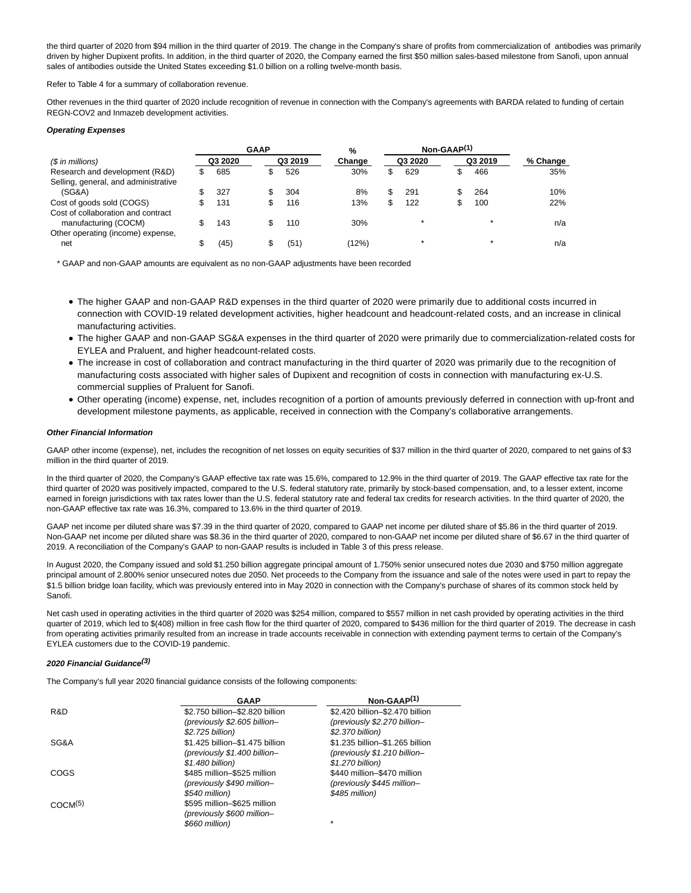the third quarter of 2020 from \$94 million in the third quarter of 2019. The change in the Company's share of profits from commercialization of antibodies was primarily driven by higher Dupixent profits. In addition, in the third quarter of 2020, the Company earned the first \$50 million sales-based milestone from Sanofi, upon annual sales of antibodies outside the United States exceeding \$1.0 billion on a rolling twelve-month basis.

Refer to Table 4 for a summary of collaboration revenue.

Other revenues in the third quarter of 2020 include recognition of revenue in connection with the Company's agreements with BARDA related to funding of certain REGN-COV2 and Inmazeb development activities.

#### **Operating Expenses**

|                                      | <b>GAAP</b> |   |         | %      | Non-GAAP <sup>(1)</sup> |         |          |
|--------------------------------------|-------------|---|---------|--------|-------------------------|---------|----------|
| $(S \in \mathbb{R})$ in millions)    | Q3 2020     |   | Q3 2019 | Change | Q3 2020                 | Q3 2019 | % Change |
| Research and development (R&D)       | 685         |   | 526     | 30%    | 629                     | 466     | 35%      |
| Selling, general, and administrative |             |   |         |        |                         |         |          |
| (SG&A)                               | 327         |   | 304     | 8%     | 291                     | 264     | 10%      |
| Cost of goods sold (COGS)            | 131         | S | 116     | 13%    | 122                     | 100     | 22%      |
| Cost of collaboration and contract   |             |   |         |        |                         |         |          |
| manufacturing (COCM)                 | 143         |   | 110     | 30%    |                         |         | n/a      |
| Other operating (income) expense,    |             |   |         |        |                         |         |          |
| net                                  | (45)        |   | (51)    | (12%)  |                         |         | n/a      |

\* GAAP and non-GAAP amounts are equivalent as no non-GAAP adjustments have been recorded

- The higher GAAP and non-GAAP R&D expenses in the third quarter of 2020 were primarily due to additional costs incurred in connection with COVID-19 related development activities, higher headcount and headcount-related costs, and an increase in clinical manufacturing activities.
- The higher GAAP and non-GAAP SG&A expenses in the third quarter of 2020 were primarily due to commercialization-related costs for EYLEA and Praluent, and higher headcount-related costs.
- The increase in cost of collaboration and contract manufacturing in the third quarter of 2020 was primarily due to the recognition of manufacturing costs associated with higher sales of Dupixent and recognition of costs in connection with manufacturing ex-U.S. commercial supplies of Praluent for Sanofi.
- Other operating (income) expense, net, includes recognition of a portion of amounts previously deferred in connection with up-front and development milestone payments, as applicable, received in connection with the Company's collaborative arrangements.

#### **Other Financial Information**

GAAP other income (expense), net, includes the recognition of net losses on equity securities of \$37 million in the third quarter of 2020, compared to net gains of \$3 million in the third quarter of 2019.

In the third quarter of 2020, the Company's GAAP effective tax rate was 15.6%, compared to 12.9% in the third quarter of 2019. The GAAP effective tax rate for the third quarter of 2020 was positively impacted, compared to the U.S. federal statutory rate, primarily by stock-based compensation, and, to a lesser extent, income earned in foreign jurisdictions with tax rates lower than the U.S. federal statutory rate and federal tax credits for research activities. In the third quarter of 2020, the non-GAAP effective tax rate was 16.3%, compared to 13.6% in the third quarter of 2019.

GAAP net income per diluted share was \$7.39 in the third quarter of 2020, compared to GAAP net income per diluted share of \$5.86 in the third quarter of 2019. Non-GAAP net income per diluted share was \$8.36 in the third quarter of 2020, compared to non-GAAP net income per diluted share of \$6.67 in the third quarter of 2019. A reconciliation of the Company's GAAP to non-GAAP results is included in Table 3 of this press release.

In August 2020, the Company issued and sold \$1.250 billion aggregate principal amount of 1.750% senior unsecured notes due 2030 and \$750 million aggregate principal amount of 2.800% senior unsecured notes due 2050. Net proceeds to the Company from the issuance and sale of the notes were used in part to repay the \$1.5 billion bridge loan facility, which was previously entered into in May 2020 in connection with the Company's purchase of shares of its common stock held by Sanofi.

Net cash used in operating activities in the third quarter of 2020 was \$254 million, compared to \$557 million in net cash provided by operating activities in the third quarter of 2019, which led to \$(408) million in free cash flow for the third quarter of 2020, compared to \$436 million for the third quarter of 2019. The decrease in cash from operating activities primarily resulted from an increase in trade accounts receivable in connection with extending payment terms to certain of the Company's EYLEA customers due to the COVID-19 pandemic.

#### **2020 Financial Guidance(3)**

The Company's full year 2020 financial guidance consists of the following components:

|                     | <b>GAAP</b>                     | $Non-GAAP(1)$                   |
|---------------------|---------------------------------|---------------------------------|
| R&D                 | \$2.750 billion-\$2.820 billion | \$2.420 billion-\$2.470 billion |
|                     | (previously \$2.605 billion-    | (previously \$2.270 billion-    |
|                     | \$2.725 billion)                | \$2.370 billion)                |
| SG&A                | \$1.425 billion-\$1.475 billion | \$1.235 billion-\$1.265 billion |
|                     | (previously \$1.400 billion-    | (previously \$1.210 billion-    |
|                     | \$1.480 billion)                | \$1.270 billion)                |
| COGS                | \$485 million-\$525 million     | \$440 million-\$470 million     |
|                     | (previously \$490 million-      | (previously \$445 million-      |
|                     | \$540 million)                  | \$485 million)                  |
| COCM <sup>(5)</sup> | \$595 million-\$625 million     |                                 |
|                     | (previously \$600 million-      |                                 |
|                     | \$660 million)                  | $\star$                         |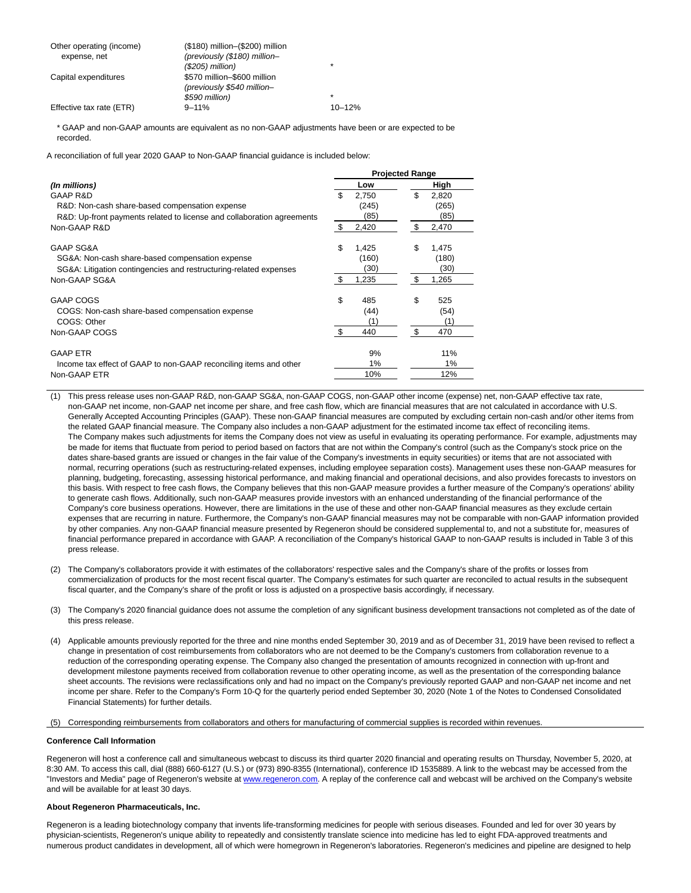| Other operating (income)<br>expense, net | (\$180) million-(\$200) million<br>(previously (\$180) million- |            |
|------------------------------------------|-----------------------------------------------------------------|------------|
|                                          | $($205)$ million)                                               | $\star$    |
| Capital expenditures                     | \$570 million-\$600 million<br>(previously \$540 million-       |            |
|                                          | \$590 million)                                                  | $\star$    |
| Effective tax rate (ETR)                 | $9 - 11%$                                                       | $10 - 12%$ |

\* GAAP and non-GAAP amounts are equivalent as no non-GAAP adjustments have been or are expected to be recorded.

A reconciliation of full year 2020 GAAP to Non-GAAP financial guidance is included below:

|                                                                        |     |       | <b>Projected Range</b> |       |
|------------------------------------------------------------------------|-----|-------|------------------------|-------|
| (In millions)                                                          |     | Low   |                        | High  |
| GAAP R&D                                                               | \$. | 2,750 | \$                     | 2,820 |
| R&D: Non-cash share-based compensation expense                         |     | (245) |                        | (265) |
| R&D: Up-front payments related to license and collaboration agreements |     | (85)  |                        | (85)  |
| Non-GAAP R&D                                                           | -\$ | 2,420 | \$                     | 2,470 |
| GAAP SG&A                                                              | \$  | 1,425 | \$                     | 1,475 |
| SG&A: Non-cash share-based compensation expense                        |     | (160) |                        | (180) |
| SG&A: Litigation contingencies and restructuring-related expenses      |     | (30)  |                        | (30)  |
| Non-GAAP SG&A                                                          | \$  | 1,235 | \$                     | 1,265 |
| GAAP COGS                                                              | \$  | 485   | \$                     | 525   |
| COGS: Non-cash share-based compensation expense                        |     | (44)  |                        | (54)  |
| COGS: Other                                                            |     | (1)   |                        | (1)   |
| Non-GAAP COGS                                                          | -\$ | 440   | \$                     | 470   |
| <b>GAAP ETR</b>                                                        |     | 9%    |                        | 11%   |
| Income tax effect of GAAP to non-GAAP reconciling items and other      |     | 1%    |                        | 1%    |
| Non-GAAP ETR                                                           |     | 10%   |                        | 12%   |

(1) This press release uses non-GAAP R&D, non-GAAP SG&A, non-GAAP COGS, non-GAAP other income (expense) net, non-GAAP effective tax rate, non-GAAP net income, non-GAAP net income per share, and free cash flow, which are financial measures that are not calculated in accordance with U.S. Generally Accepted Accounting Principles (GAAP). These non-GAAP financial measures are computed by excluding certain non-cash and/or other items from the related GAAP financial measure. The Company also includes a non-GAAP adjustment for the estimated income tax effect of reconciling items. The Company makes such adjustments for items the Company does not view as useful in evaluating its operating performance. For example, adjustments may be made for items that fluctuate from period to period based on factors that are not within the Company's control (such as the Company's stock price on the dates share-based grants are issued or changes in the fair value of the Company's investments in equity securities) or items that are not associated with normal, recurring operations (such as restructuring-related expenses, including employee separation costs). Management uses these non-GAAP measures for planning, budgeting, forecasting, assessing historical performance, and making financial and operational decisions, and also provides forecasts to investors on this basis. With respect to free cash flows, the Company believes that this non-GAAP measure provides a further measure of the Company's operations' ability to generate cash flows. Additionally, such non-GAAP measures provide investors with an enhanced understanding of the financial performance of the Company's core business operations. However, there are limitations in the use of these and other non-GAAP financial measures as they exclude certain expenses that are recurring in nature. Furthermore, the Company's non-GAAP financial measures may not be comparable with non-GAAP information provided by other companies. Any non-GAAP financial measure presented by Regeneron should be considered supplemental to, and not a substitute for, measures of financial performance prepared in accordance with GAAP. A reconciliation of the Company's historical GAAP to non-GAAP results is included in Table 3 of this press release.

- (2) The Company's collaborators provide it with estimates of the collaborators' respective sales and the Company's share of the profits or losses from commercialization of products for the most recent fiscal quarter. The Company's estimates for such quarter are reconciled to actual results in the subsequent fiscal quarter, and the Company's share of the profit or loss is adjusted on a prospective basis accordingly, if necessary.
- (3) The Company's 2020 financial guidance does not assume the completion of any significant business development transactions not completed as of the date of this press release.
- (4) Applicable amounts previously reported for the three and nine months ended September 30, 2019 and as of December 31, 2019 have been revised to reflect a change in presentation of cost reimbursements from collaborators who are not deemed to be the Company's customers from collaboration revenue to a reduction of the corresponding operating expense. The Company also changed the presentation of amounts recognized in connection with up-front and development milestone payments received from collaboration revenue to other operating income, as well as the presentation of the corresponding balance sheet accounts. The revisions were reclassifications only and had no impact on the Company's previously reported GAAP and non-GAAP net income and net income per share. Refer to the Company's Form 10-Q for the quarterly period ended September 30, 2020 (Note 1 of the Notes to Condensed Consolidated Financial Statements) for further details.
- (5) Corresponding reimbursements from collaborators and others for manufacturing of commercial supplies is recorded within revenues.

#### **Conference Call Information**

Regeneron will host a conference call and simultaneous webcast to discuss its third quarter 2020 financial and operating results on Thursday, November 5, 2020, at 8:30 AM. To access this call, dial (888) 660-6127 (U.S.) or (973) 890-8355 (International), conference ID 1535889. A link to the webcast may be accessed from the "Investors and Media" page of Regeneron's website at [www.regeneron.com.](http://www.regeneron.com/) A replay of the conference call and webcast will be archived on the Company's website and will be available for at least 30 days.

#### **About Regeneron Pharmaceuticals, Inc.**

Regeneron is a leading biotechnology company that invents life-transforming medicines for people with serious diseases. Founded and led for over 30 years by physician-scientists, Regeneron's unique ability to repeatedly and consistently translate science into medicine has led to eight FDA-approved treatments and numerous product candidates in development, all of which were homegrown in Regeneron's laboratories. Regeneron's medicines and pipeline are designed to help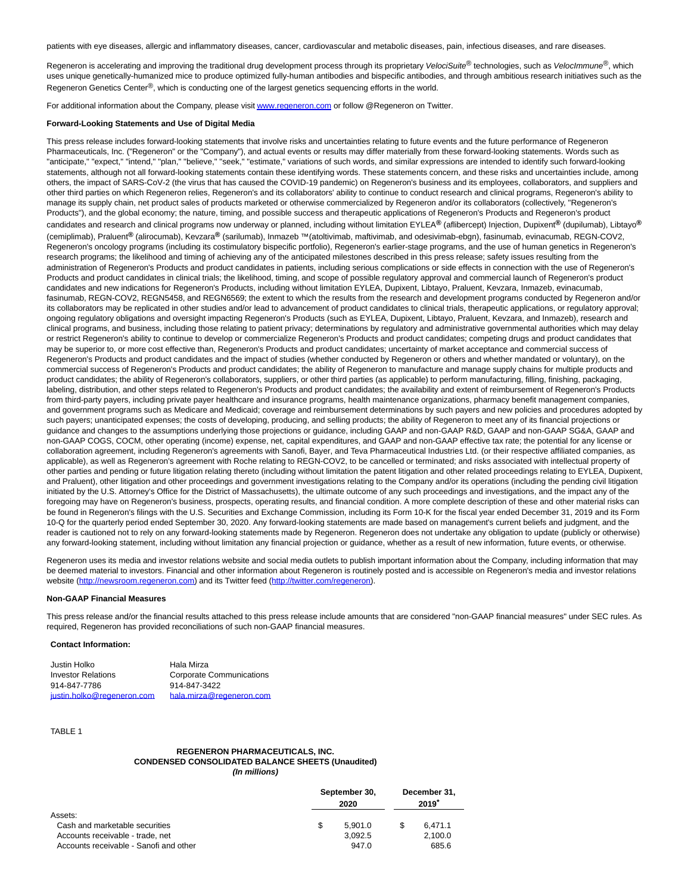patients with eye diseases, allergic and inflammatory diseases, cancer, cardiovascular and metabolic diseases, pain, infectious diseases, and rare diseases.

Regeneron is accelerating and improving the traditional drug development process through its proprietary VelociSuite® technologies, such as VelocImmune®, which uses unique genetically-humanized mice to produce optimized fully-human antibodies and bispecific antibodies, and through ambitious research initiatives such as the Regeneron Genetics Center®, which is conducting one of the largest genetics sequencing efforts in the world.

For additional information about the Company, please visi[t www.regeneron.com o](http://www.regeneron.com/)r follow @Regeneron on Twitter.

#### **Forward-Looking Statements and Use of Digital Media**

This press release includes forward-looking statements that involve risks and uncertainties relating to future events and the future performance of Regeneron Pharmaceuticals, Inc. ("Regeneron" or the "Company"), and actual events or results may differ materially from these forward-looking statements. Words such as "anticipate," "expect," "intend," "plan," "believe," "seek," "estimate," variations of such words, and similar expressions are intended to identify such forward-looking statements, although not all forward-looking statements contain these identifying words. These statements concern, and these risks and uncertainties include, among others, the impact of SARS-CoV-2 (the virus that has caused the COVID-19 pandemic) on Regeneron's business and its employees, collaborators, and suppliers and other third parties on which Regeneron relies, Regeneron's and its collaborators' ability to continue to conduct research and clinical programs, Regeneron's ability to manage its supply chain, net product sales of products marketed or otherwise commercialized by Regeneron and/or its collaborators (collectively, "Regeneron's Products"), and the global economy; the nature, timing, and possible success and therapeutic applications of Regeneron's Products and Regeneron's product candidates and research and clinical programs now underway or planned, including without limitation EYLEA**®** (aflibercept) Injection, Dupixent**®** (dupilumab), Libtayo**®** (cemiplimab), Praluent**®** (alirocumab), Kevzara**®** (sarilumab), Inmazeb ™ (atoltivimab, maftivimab, and odesivimab-ebgn), fasinumab, evinacumab, REGN-COV2, Regeneron's oncology programs (including its costimulatory bispecific portfolio), Regeneron's earlier-stage programs, and the use of human genetics in Regeneron's research programs; the likelihood and timing of achieving any of the anticipated milestones described in this press release; safety issues resulting from the administration of Regeneron's Products and product candidates in patients, including serious complications or side effects in connection with the use of Regeneron's Products and product candidates in clinical trials; the likelihood, timing, and scope of possible regulatory approval and commercial launch of Regeneron's product candidates and new indications for Regeneron's Products, including without limitation EYLEA, Dupixent, Libtayo, Praluent, Kevzara, Inmazeb, evinacumab, fasinumab, REGN-COV2, REGN5458, and REGN6569; the extent to which the results from the research and development programs conducted by Regeneron and/or its collaborators may be replicated in other studies and/or lead to advancement of product candidates to clinical trials, therapeutic applications, or regulatory approval; ongoing regulatory obligations and oversight impacting Regeneron's Products (such as EYLEA, Dupixent, Libtayo, Praluent, Kevzara, and Inmazeb), research and clinical programs, and business, including those relating to patient privacy; determinations by regulatory and administrative governmental authorities which may delay or restrict Regeneron's ability to continue to develop or commercialize Regeneron's Products and product candidates; competing drugs and product candidates that may be superior to, or more cost effective than, Regeneron's Products and product candidates; uncertainty of market acceptance and commercial success of Regeneron's Products and product candidates and the impact of studies (whether conducted by Regeneron or others and whether mandated or voluntary), on the commercial success of Regeneron's Products and product candidates; the ability of Regeneron to manufacture and manage supply chains for multiple products and product candidates; the ability of Regeneron's collaborators, suppliers, or other third parties (as applicable) to perform manufacturing, filling, finishing, packaging, labeling, distribution, and other steps related to Regeneron's Products and product candidates; the availability and extent of reimbursement of Regeneron's Products from third-party payers, including private payer healthcare and insurance programs, health maintenance organizations, pharmacy benefit management companies. and government programs such as Medicare and Medicaid; coverage and reimbursement determinations by such payers and new policies and procedures adopted by such payers; unanticipated expenses; the costs of developing, producing, and selling products; the ability of Regeneron to meet any of its financial projections or guidance and changes to the assumptions underlying those projections or guidance, including GAAP and non-GAAP R&D, GAAP and non-GAAP SG&A, GAAP and non-GAAP COGS, COCM, other operating (income) expense, net, capital expenditures, and GAAP and non-GAAP effective tax rate; the potential for any license or collaboration agreement, including Regeneron's agreements with Sanofi, Bayer, and Teva Pharmaceutical Industries Ltd. (or their respective affiliated companies, as applicable), as well as Regeneron's agreement with Roche relating to REGN-COV2, to be cancelled or terminated; and risks associated with intellectual property of other parties and pending or future litigation relating thereto (including without limitation the patent litigation and other related proceedings relating to EYLEA, Dupixent, and Praluent), other litigation and other proceedings and government investigations relating to the Company and/or its operations (including the pending civil litigation initiated by the U.S. Attorney's Office for the District of Massachusetts), the ultimate outcome of any such proceedings and investigations, and the impact any of the foregoing may have on Regeneron's business, prospects, operating results, and financial condition. A more complete description of these and other material risks can be found in Regeneron's filings with the U.S. Securities and Exchange Commission, including its Form 10-K for the fiscal year ended December 31, 2019 and its Form 10-Q for the quarterly period ended September 30, 2020. Any forward-looking statements are made based on management's current beliefs and judgment, and the reader is cautioned not to rely on any forward-looking statements made by Regeneron. Regeneron does not undertake any obligation to update (publicly or otherwise) any forward-looking statement, including without limitation any financial projection or guidance, whether as a result of new information, future events, or otherwise.

Regeneron uses its media and investor relations website and social media outlets to publish important information about the Company, including information that may be deemed material to investors. Financial and other information about Regeneron is routinely posted and is accessible on Regeneron's media and investor relations website [\(http://newsroom.regeneron.com\)](http://newsroom.regeneron.com/) and its Twitter feed [\(http://twitter.com/regeneron\).](http://twitter.com/regeneron)

#### **Non-GAAP Financial Measures**

This press release and/or the financial results attached to this press release include amounts that are considered "non-GAAP financial measures" under SEC rules. As required, Regeneron has provided reconciliations of such non-GAAP financial measures.

#### **Contact Information:**

| Justin Holko               | Hala Mirza               |
|----------------------------|--------------------------|
| <b>Investor Relations</b>  | Corporate Communications |
| 914-847-7786               | 914-847-3422             |
| justin.holko@regeneron.com | hala.mirza@regeneron.com |

TABLE 1

#### **REGENERON PHARMACEUTICALS, INC. CONDENSED CONSOLIDATED BALANCE SHEETS (Unaudited) (In millions)**

|                                        |   | September 30,<br>2020 |  |         |
|----------------------------------------|---|-----------------------|--|---------|
| Assets:                                |   |                       |  |         |
| Cash and marketable securities         | S | 5.901.0               |  | 6.471.1 |
| Accounts receivable - trade, net       |   | 3.092.5               |  | 2,100.0 |
| Accounts receivable - Sanofi and other |   | 947.0                 |  | 685.6   |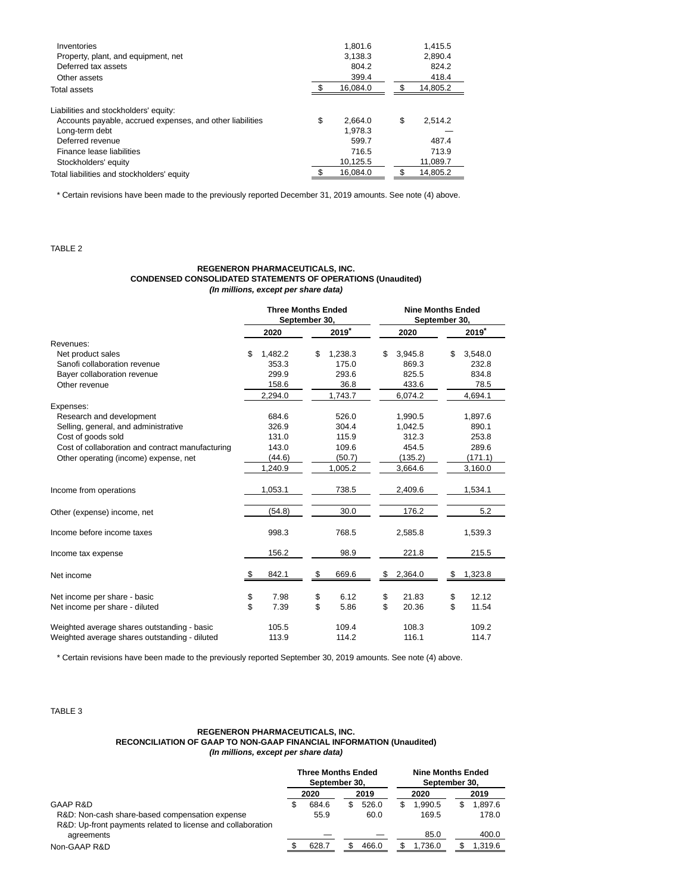| Inventories<br>Property, plant, and equipment, net<br>Deferred tax assets<br>Other assets | 1.801.6<br>3.138.3<br>804.2<br>399.4 | 1,415.5<br>2.890.4<br>824.2<br>418.4 |  |
|-------------------------------------------------------------------------------------------|--------------------------------------|--------------------------------------|--|
| Total assets                                                                              | 16,084.0                             | 14,805.2                             |  |
| Liabilities and stockholders' equity:                                                     |                                      |                                      |  |
| Accounts payable, accrued expenses, and other liabilities                                 | \$<br>2.664.0                        | \$<br>2.514.2                        |  |
| Long-term debt                                                                            | 1.978.3                              |                                      |  |
| Deferred revenue                                                                          | 599.7                                | 487.4                                |  |
| Finance lease liabilities                                                                 | 716.5                                | 713.9                                |  |
| Stockholders' equity                                                                      | 10,125.5                             | 11,089.7                             |  |
| Total liabilities and stockholders' equity                                                | 16.084.0                             | 14.805.2                             |  |
|                                                                                           |                                      |                                      |  |

\* Certain revisions have been made to the previously reported December 31, 2019 amounts. See note (4) above.

# TABLE 2

#### **REGENERON PHARMACEUTICALS, INC. CONDENSED CONSOLIDATED STATEMENTS OF OPERATIONS (Unaudited) (In millions, except per share data)**

|                                                  | <b>Three Months Ended</b><br>September 30, |         |                     |         |      | <b>Nine Months Ended</b><br>September 30, |    |                     |
|--------------------------------------------------|--------------------------------------------|---------|---------------------|---------|------|-------------------------------------------|----|---------------------|
|                                                  |                                            | 2020    | $2019$ <sup>*</sup> |         | 2020 |                                           |    | $2019$ <sup>*</sup> |
| Revenues:                                        |                                            |         |                     |         |      |                                           |    |                     |
| Net product sales                                | \$                                         | 1,482.2 | \$                  | 1,238.3 | \$   | 3,945.8                                   | \$ | 3,548.0             |
| Sanofi collaboration revenue                     |                                            | 353.3   |                     | 175.0   |      | 869.3                                     |    | 232.8               |
| Bayer collaboration revenue                      |                                            | 299.9   |                     | 293.6   |      | 825.5                                     |    | 834.8               |
| Other revenue                                    |                                            | 158.6   |                     | 36.8    |      | 433.6                                     |    | 78.5                |
|                                                  |                                            | 2,294.0 |                     | 1,743.7 |      | 6,074.2                                   |    | 4,694.1             |
| Expenses:                                        |                                            |         |                     |         |      |                                           |    |                     |
| Research and development                         |                                            | 684.6   |                     | 526.0   |      | 1,990.5                                   |    | 1,897.6             |
| Selling, general, and administrative             |                                            | 326.9   |                     | 304.4   |      | 1,042.5                                   |    | 890.1               |
| Cost of goods sold                               |                                            | 131.0   |                     | 115.9   |      | 312.3                                     |    | 253.8               |
| Cost of collaboration and contract manufacturing |                                            | 143.0   |                     | 109.6   |      | 454.5                                     |    | 289.6               |
| Other operating (income) expense, net            |                                            | (44.6)  |                     | (50.7)  |      | (135.2)                                   |    | (171.1)             |
|                                                  |                                            | 1,240.9 |                     | 1,005.2 |      | 3,664.6                                   |    | 3,160.0             |
| Income from operations                           |                                            | 1,053.1 |                     | 738.5   |      | 2,409.6                                   |    | 1,534.1             |
| Other (expense) income, net                      |                                            | (54.8)  |                     | 30.0    |      | 176.2                                     |    | 5.2                 |
| Income before income taxes                       |                                            | 998.3   |                     | 768.5   |      | 2,585.8                                   |    | 1,539.3             |
| Income tax expense                               |                                            | 156.2   |                     | 98.9    |      | 221.8                                     |    | 215.5               |
| Net income                                       | S                                          | 842.1   | \$                  | 669.6   | \$   | 2,364.0                                   | \$ | 1,323.8             |
| Net income per share - basic                     | \$                                         | 7.98    | \$                  | 6.12    | \$   | 21.83                                     | \$ | 12.12               |
| Net income per share - diluted                   | \$                                         | 7.39    | \$                  | 5.86    | \$   | 20.36                                     | \$ | 11.54               |
|                                                  |                                            |         |                     |         |      |                                           |    |                     |
| Weighted average shares outstanding - basic      |                                            | 105.5   |                     | 109.4   |      | 108.3                                     |    | 109.2               |
| Weighted average shares outstanding - diluted    |                                            | 113.9   |                     | 114.2   |      | 116.1                                     |    | 114.7               |

\* Certain revisions have been made to the previously reported September 30, 2019 amounts. See note (4) above.

TABLE 3

#### **REGENERON PHARMACEUTICALS, INC. RECONCILIATION OF GAAP TO NON-GAAP FINANCIAL INFORMATION (Unaudited) (In millions, except per share data)**

|                                                             | <b>Three Months Ended</b><br>September 30. |       |  |       |    | <b>Nine Months Ended</b><br>September 30. |  |         |
|-------------------------------------------------------------|--------------------------------------------|-------|--|-------|----|-------------------------------------------|--|---------|
|                                                             |                                            | 2020  |  | 2019  |    | 2020                                      |  | 2019    |
| GAAP R&D                                                    | S                                          | 684.6 |  | 526.0 | S. | 1.990.5                                   |  | 1.897.6 |
| R&D: Non-cash share-based compensation expense              |                                            | 55.9  |  | 60.0  |    | 169.5                                     |  | 178.0   |
| R&D: Up-front payments related to license and collaboration |                                            |       |  |       |    |                                           |  |         |
| agreements                                                  |                                            |       |  |       |    | 85.0                                      |  | 400.0   |
| Non-GAAP R&D                                                |                                            | 628.7 |  | 466.0 |    | 1.736.0                                   |  | 1.319.6 |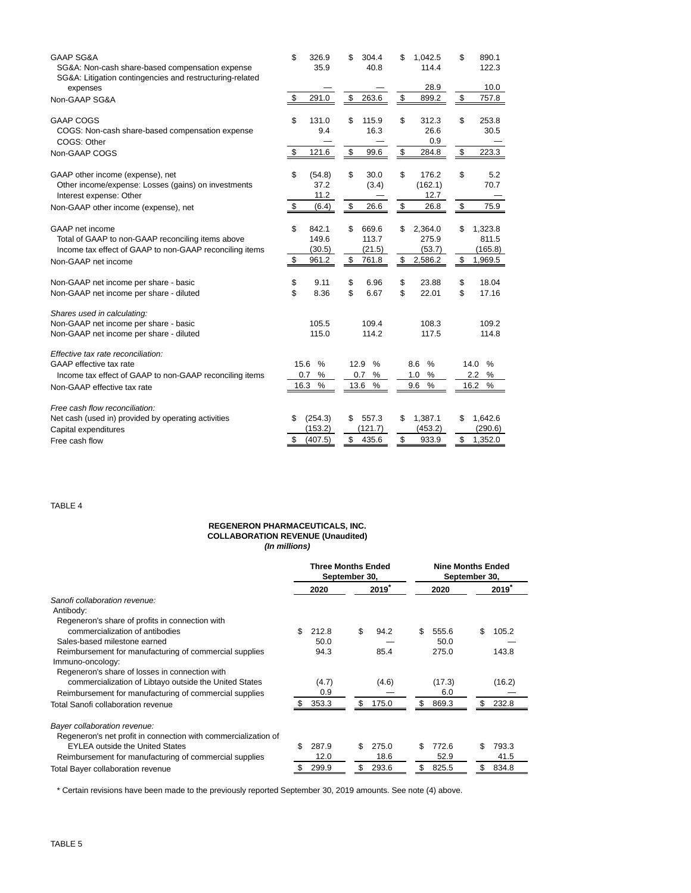| <b>GAAP SG&amp;A</b><br>SG&A: Non-cash share-based compensation expense<br>SG&A: Litigation contingencies and restructuring-related | \$<br>326.9<br>35.9 | 304.4<br>40.8 | \$<br>1.042.5<br>114.4 | 890.1<br>\$<br>122.3 |
|-------------------------------------------------------------------------------------------------------------------------------------|---------------------|---------------|------------------------|----------------------|
| expenses<br>Non-GAAP SG&A                                                                                                           | \$<br>291.0         | \$<br>263.6   | 28.9<br>\$<br>899.2    | 10.0<br>\$<br>757.8  |
|                                                                                                                                     |                     |               |                        |                      |
| <b>GAAP COGS</b>                                                                                                                    | \$                  | \$            | \$                     | \$                   |
|                                                                                                                                     | 131.0               | 115.9         | 312.3                  | 253.8                |
| COGS: Non-cash share-based compensation expense<br>COGS: Other                                                                      | 9.4                 | 16.3          | 26.6<br>0.9            | 30.5                 |
| Non-GAAP COGS                                                                                                                       | \$                  | \$            | \$                     | \$                   |
|                                                                                                                                     | 121.6               | 99.6          | 284.8                  | 223.3                |
| GAAP other income (expense), net                                                                                                    | \$                  | \$            | \$                     | \$                   |
|                                                                                                                                     | (54.8)              | 30.0          | 176.2                  | 5.2                  |
| Other income/expense: Losses (gains) on investments<br>Interest expense: Other                                                      | 37.2<br>11.2        | (3.4)         | (162.1)<br>12.7        | 70.7                 |
| Non-GAAP other income (expense), net                                                                                                | \$                  | \$            | \$                     | \$                   |
|                                                                                                                                     | (6.4)               | 26.6          | 26.8                   | 75.9                 |
| GAAP net income                                                                                                                     | \$                  | \$            | 2,364.0                | \$                   |
|                                                                                                                                     | 842.1               | 669.6         | S                      | 1,323.8              |
| Total of GAAP to non-GAAP reconciling items above                                                                                   | 149.6               | 113.7         | 275.9                  | 811.5                |
| Income tax effect of GAAP to non-GAAP reconciling items                                                                             | (30.5)              | (21.5)        | (53.7)                 | (165.8)              |
| Non-GAAP net income                                                                                                                 | \$                  | \$            | \$                     | \$                   |
|                                                                                                                                     | 961.2               | 761.8         | 2,586.2                | 1,969.5              |
| Non-GAAP net income per share - basic                                                                                               | \$                  | \$            | \$                     | \$                   |
|                                                                                                                                     | 9.11                | 6.96          | 23.88                  | 18.04                |
| Non-GAAP net income per share - diluted                                                                                             | \$                  | \$            | \$                     | \$                   |
|                                                                                                                                     | 8.36                | 6.67          | 22.01                  | 17.16                |
| Shares used in calculating:                                                                                                         |                     |               |                        |                      |
| Non-GAAP net income per share - basic                                                                                               | 105.5               | 109.4         | 108.3                  | 109.2                |
| Non-GAAP net income per share - diluted                                                                                             | 115.0               | 114.2         | 117.5                  | 114.8                |
| Effective tax rate reconciliation:                                                                                                  |                     |               |                        |                      |
| GAAP effective tax rate                                                                                                             | $\frac{0}{0}$       | $\%$          | $\frac{0}{0}$          | 14.0                 |
|                                                                                                                                     | 15.6                | 12.9          | 8.6                    | $\%$                 |
| Income tax effect of GAAP to non-GAAP reconciling items                                                                             | %                   | $\%$          | %                      | 2.2                  |
|                                                                                                                                     | 0.7                 | 0.7           | 1.0                    | %                    |
| Non-GAAP effective tax rate                                                                                                         | %                   | $\%$          | %                      | 16.2                 |
|                                                                                                                                     | 16.3                | 13.6          | 9.6                    | %                    |
| Free cash flow reconciliation:                                                                                                      |                     |               |                        |                      |
| Net cash (used in) provided by operating activities                                                                                 | (254.3)             | \$            | 1,387.1                | 1,642.6              |
|                                                                                                                                     | S                   | 557.3         | S                      | \$                   |
| Capital expenditures                                                                                                                | (153.2)             | (121.7)       | (453.2)                | (290.6)              |
| Free cash flow                                                                                                                      | (407.5)             | \$            | \$                     | \$                   |
|                                                                                                                                     | \$                  | 435.6         | 933.9                  | 1,352.0              |

TABLE 4

#### **REGENERON PHARMACEUTICALS, INC. COLLABORATION REVENUE (Unaudited) (In millions)**

|                                                                | <b>Three Months Ended</b><br>September 30, |       |    |          |     | <b>Nine Months Ended</b><br>September 30, |     |        |  |  |
|----------------------------------------------------------------|--------------------------------------------|-------|----|----------|-----|-------------------------------------------|-----|--------|--|--|
|                                                                |                                            | 2020  |    | $2019^*$ |     | 2020                                      |     | 2019   |  |  |
| Sanofi collaboration revenue:                                  |                                            |       |    |          |     |                                           |     |        |  |  |
| Antibody:                                                      |                                            |       |    |          |     |                                           |     |        |  |  |
| Regeneron's share of profits in connection with                |                                            |       |    |          |     |                                           |     |        |  |  |
| commercialization of antibodies                                | \$                                         | 212.8 | \$ | 94.2     | \$  | 555.6                                     | \$  | 105.2  |  |  |
| Sales-based milestone earned                                   |                                            | 50.0  |    |          |     | 50.0                                      |     |        |  |  |
| Reimbursement for manufacturing of commercial supplies         |                                            | 94.3  |    | 85.4     |     | 275.0                                     |     | 143.8  |  |  |
| Immuno-oncology:                                               |                                            |       |    |          |     |                                           |     |        |  |  |
| Regeneron's share of losses in connection with                 |                                            |       |    |          |     |                                           |     |        |  |  |
| commercialization of Libtayo outside the United States         |                                            | (4.7) |    | (4.6)    |     | (17.3)                                    |     | (16.2) |  |  |
| Reimbursement for manufacturing of commercial supplies         |                                            | 0.9   |    |          |     | 6.0                                       |     |        |  |  |
| Total Sanofi collaboration revenue                             |                                            | 353.3 | \$ | 175.0    | S   | 869.3                                     | S   | 232.8  |  |  |
| Bayer collaboration revenue:                                   |                                            |       |    |          |     |                                           |     |        |  |  |
| Regeneron's net profit in connection with commercialization of |                                            |       |    |          |     |                                           |     |        |  |  |
| <b>EYLEA outside the United States</b>                         | \$.                                        | 287.9 | \$ | 275.0    | \$. | 772.6                                     | \$. | 793.3  |  |  |
| Reimbursement for manufacturing of commercial supplies         |                                            | 12.0  |    | 18.6     |     | 52.9                                      |     | 41.5   |  |  |
| Total Bayer collaboration revenue                              |                                            | 299.9 | \$ | 293.6    | \$  | 825.5                                     | S   | 834.8  |  |  |

\* Certain revisions have been made to the previously reported September 30, 2019 amounts. See note (4) above.